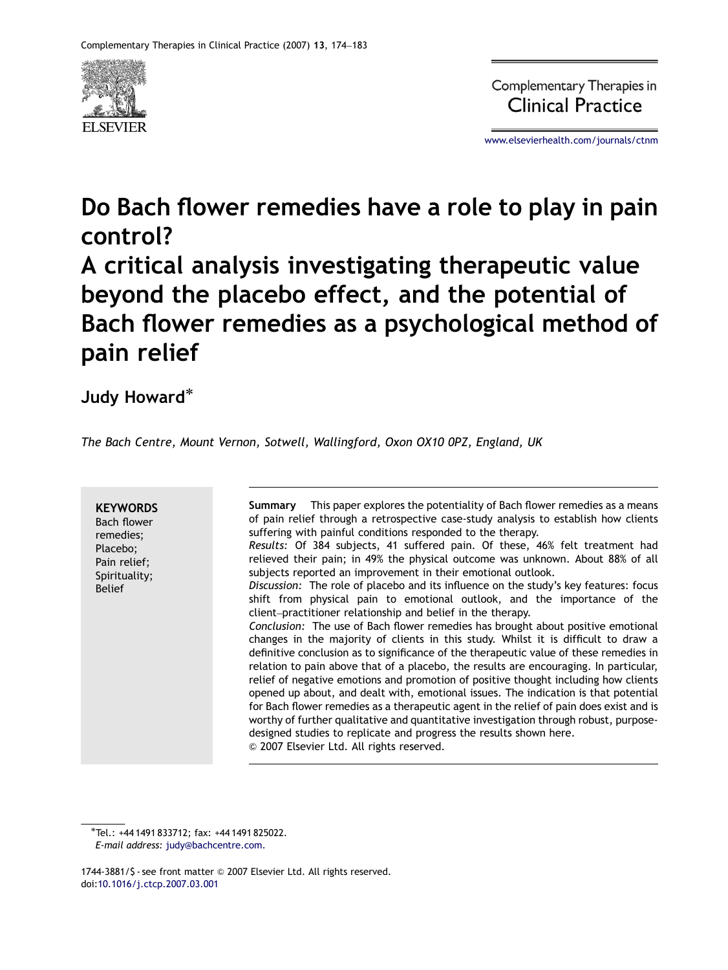

Complementary Therapies in **Clinical Practice** 

<www.elsevierhealth.com/journals/ctnm>

# Do Bach flower remedies have a role to play in pain control? A critical analysis investigating therapeutic value beyond the placebo effect, and the potential of Bach flower remedies as a psychological method of pain relief

Judy Howard<sup>\*</sup>

The Bach Centre, Mount Vernon, Sotwell, Wallingford, Oxon OX10 0PZ, England, UK

**KEYWORDS** Bach flower remedies; Placebo; Pain relief; Spirituality; Belief

Summary This paper explores the potentiality of Bach flower remedies as a means of pain relief through a retrospective case-study analysis to establish how clients suffering with painful conditions responded to the therapy.

Results: Of 384 subjects, 41 suffered pain. Of these, 46% felt treatment had relieved their pain; in 49% the physical outcome was unknown. About 88% of all subjects reported an improvement in their emotional outlook.

Discussion: The role of placebo and its influence on the study's key features: focus shift from physical pain to emotional outlook, and the importance of the client–practitioner relationship and belief in the therapy.

Conclusion: The use of Bach flower remedies has brought about positive emotional changes in the majority of clients in this study. Whilst it is difficult to draw a definitive conclusion as to significance of the therapeutic value of these remedies in relation to pain above that of a placebo, the results are encouraging. In particular, relief of negative emotions and promotion of positive thought including how clients opened up about, and dealt with, emotional issues. The indication is that potential for Bach flower remedies as a therapeutic agent in the relief of pain does exist and is worthy of further qualitative and quantitative investigation through robust, purposedesigned studies to replicate and progress the results shown here.  $©$  2007 Elsevier Ltd. All rights reserved.

-Tel.: +44 1491 833712; fax: +44 1491 825022.

E-mail address: [judy@bachcentre.com.](mailto:judy@bachcentre.com)

1744-3881/\$ - see front matter @ 2007 Elsevier Ltd. All rights reserved. doi[:10.1016/j.ctcp.2007.03.001](dx.doi.org/10.1016/j.ctcp.2007.03.001)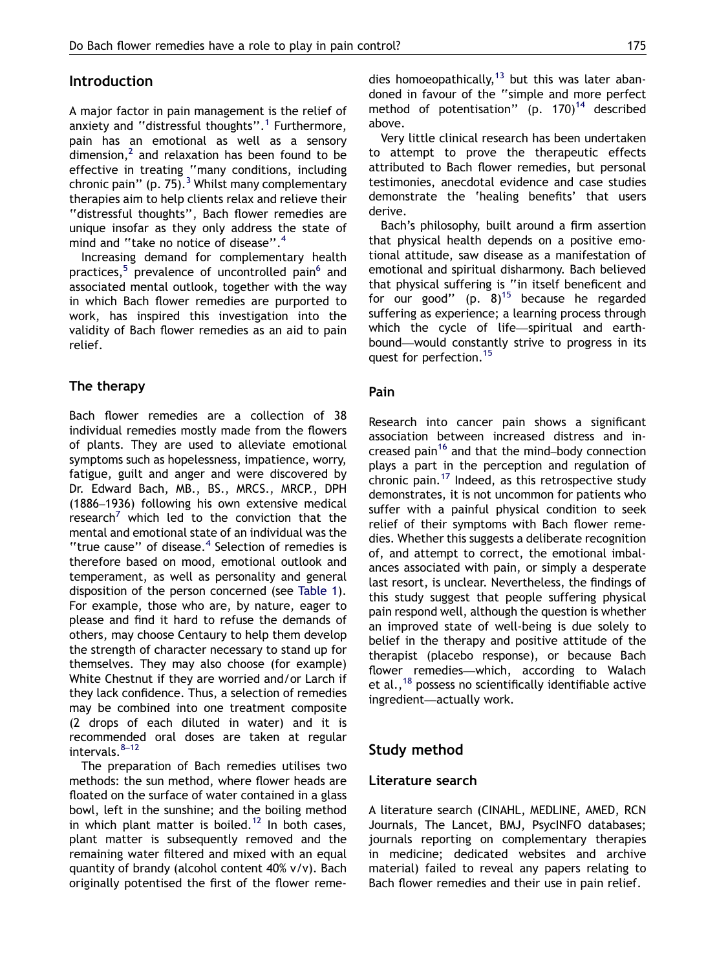# Introduction

A major factor in pain management is the relief of anxiety and ''distressful thoughts''.[1](#page-7-0) Furthermore, pain has an emotional as well as a sensory dimension, $2$  and relaxation has been found to be effective in treating ''many conditions, including chronic pain" (p. 75).<sup>[3](#page-7-0)</sup> Whilst many complementary therapies aim to help clients relax and relieve their ''distressful thoughts'', Bach flower remedies are unique insofar as they only address the state of mind and "take no notice of disease".<sup>[4](#page-7-0)</sup>

Increasing demand for complementary health practices, $5$  prevalence of uncontrolled pain $6$  and associated mental outlook, together with the way in which Bach flower remedies are purported to work, has inspired this investigation into the validity of Bach flower remedies as an aid to pain relief.

# The therapy

Bach flower remedies are a collection of 38 individual remedies mostly made from the flowers of plants. They are used to alleviate emotional symptoms such as hopelessness, impatience, worry, fatigue, guilt and anger and were discovered by Dr. Edward Bach, MB., BS., MRCS., MRCP., DPH (1886–1936) following his own extensive medical research<sup>[7](#page-7-0)</sup> which led to the conviction that the mental and emotional state of an individual was the "true cause" of disease. $4$  Selection of remedies is therefore based on mood, emotional outlook and temperament, as well as personality and general disposition of the person concerned (see [Table 1\)](#page-2-0). For example, those who are, by nature, eager to please and find it hard to refuse the demands of others, may choose Centaury to help them develop the strength of character necessary to stand up for themselves. They may also choose (for example) White Chestnut if they are worried and/or Larch if they lack confidence. Thus, a selection of remedies may be combined into one treatment composite (2 drops of each diluted in water) and it is recommended oral doses are taken at regular intervals. $8-12$  $8-12$ 

The preparation of Bach remedies utilises two methods: the sun method, where flower heads are floated on the surface of water contained in a glass bowl, left in the sunshine; and the boiling method in which plant matter is boiled.<sup>[12](#page-7-0)</sup> In both cases, plant matter is subsequently removed and the remaining water filtered and mixed with an equal quantity of brandy (alcohol content 40% v/v). Bach originally potentised the first of the flower remedies homoeopathically, $^{13}$  $^{13}$  $^{13}$  but this was later abandoned in favour of the ''simple and more perfect method of potentisation" (p.  $170$ <sup>[14](#page-7-0)</sup> described above.

Very little clinical research has been undertaken to attempt to prove the therapeutic effects attributed to Bach flower remedies, but personal testimonies, anecdotal evidence and case studies demonstrate the 'healing benefits' that users derive.

Bach's philosophy, built around a firm assertion that physical health depends on a positive emotional attitude, saw disease as a manifestation of emotional and spiritual disharmony. Bach believed that physical suffering is ''in itself beneficent and for our good"  $(p. 8)^{15}$  $(p. 8)^{15}$  $(p. 8)^{15}$  because he regarded suffering as experience; a learning process through which the cycle of life—spiritual and earthbound—would constantly strive to progress in its quest for perfection.<sup>[15](#page-8-0)</sup>

# Pain

Research into cancer pain shows a significant association between increased distress and in-creased pain<sup>[16](#page-8-0)</sup> and that the mind–body connection plays a part in the perception and regulation of chronic pain. $^{17}$  $^{17}$  $^{17}$  Indeed, as this retrospective study demonstrates, it is not uncommon for patients who suffer with a painful physical condition to seek relief of their symptoms with Bach flower remedies. Whether this suggests a deliberate recognition of, and attempt to correct, the emotional imbalances associated with pain, or simply a desperate last resort, is unclear. Nevertheless, the findings of this study suggest that people suffering physical pain respond well, although the question is whether an improved state of well-being is due solely to belief in the therapy and positive attitude of the therapist (placebo response), or because Bach flower remedies—which, according to Walach et al.,  $18$  possess no scientifically identifiable active ingredient—actually work.

## Study method

#### Literature search

A literature search (CINAHL, MEDLINE, AMED, RCN Journals, The Lancet, BMJ, PsycINFO databases; journals reporting on complementary therapies in medicine; dedicated websites and archive material) failed to reveal any papers relating to Bach flower remedies and their use in pain relief.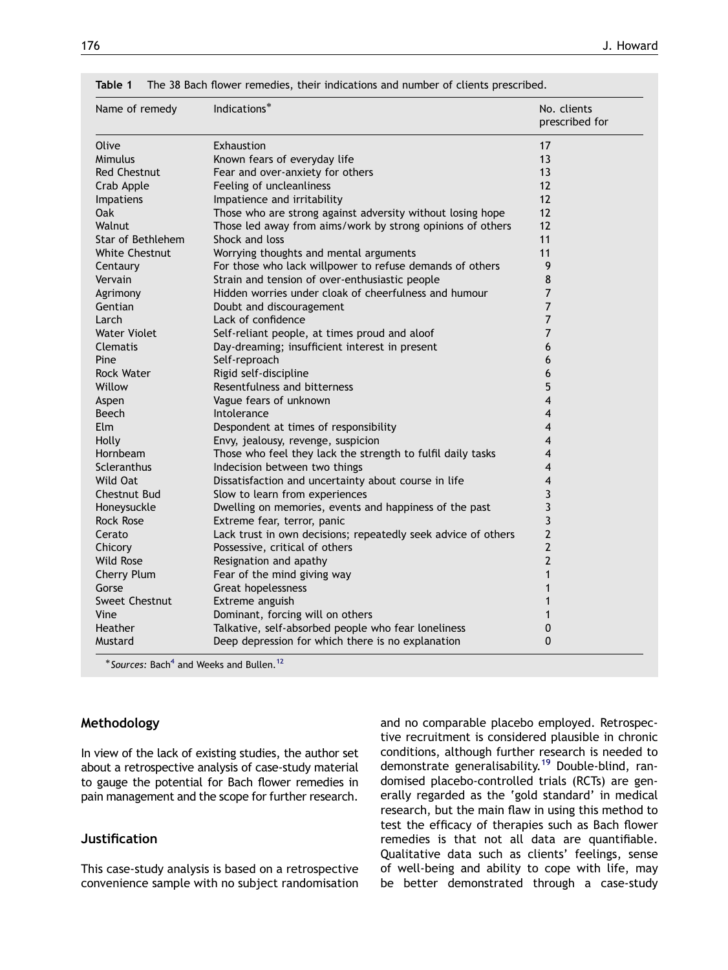| Name of remedy        | Indications*                                                  | No. clients<br>prescribed for |
|-----------------------|---------------------------------------------------------------|-------------------------------|
| Olive                 | Exhaustion                                                    | 17                            |
| <b>Mimulus</b>        | Known fears of everyday life                                  | 13                            |
| Red Chestnut          | Fear and over-anxiety for others                              | 13                            |
| Crab Apple            | Feeling of uncleanliness                                      | 12                            |
| Impatiens             | Impatience and irritability                                   | 12                            |
| <b>Oak</b>            | Those who are strong against adversity without losing hope    | 12                            |
| <b>Walnut</b>         | Those led away from aims/work by strong opinions of others    | 12                            |
| Star of Bethlehem     | Shock and loss                                                | 11                            |
| <b>White Chestnut</b> | Worrying thoughts and mental arguments                        | 11                            |
| Centaury              | For those who lack willpower to refuse demands of others      | 9                             |
| Vervain               | Strain and tension of over-enthusiastic people                | 8                             |
| Agrimony              | Hidden worries under cloak of cheerfulness and humour         | 7                             |
| Gentian               | Doubt and discouragement                                      | 7                             |
| Larch                 | Lack of confidence                                            | 7                             |
| <b>Water Violet</b>   | Self-reliant people, at times proud and aloof                 | 7                             |
| Clematis              | Day-dreaming; insufficient interest in present                | 6                             |
| Pine                  | Self-reproach                                                 | 6                             |
| <b>Rock Water</b>     | Rigid self-discipline                                         | 6                             |
| Willow                | Resentfulness and bitterness                                  | 5                             |
| Aspen                 | Vague fears of unknown                                        | 4                             |
| Beech                 | Intolerance                                                   | 4                             |
| Elm                   | Despondent at times of responsibility                         | 4                             |
| Holly                 | Envy, jealousy, revenge, suspicion                            | 4                             |
| Hornbeam              | Those who feel they lack the strength to fulfil daily tasks   | 4                             |
| Scleranthus           | Indecision between two things                                 | 4                             |
| Wild Oat              | Dissatisfaction and uncertainty about course in life          | 4                             |
| Chestnut Bud          | Slow to learn from experiences                                | 3                             |
| Honeysuckle           | Dwelling on memories, events and happiness of the past        | 3                             |
| <b>Rock Rose</b>      | Extreme fear, terror, panic                                   | 3                             |
| Cerato                | Lack trust in own decisions; repeatedly seek advice of others | $\overline{2}$                |
| Chicory               | Possessive, critical of others                                | $\overline{2}$                |
| Wild Rose             | Resignation and apathy                                        | $\overline{2}$                |
| Cherry Plum           | Fear of the mind giving way                                   |                               |
| Gorse                 | Great hopelessness                                            |                               |
| <b>Sweet Chestnut</b> | Extreme anguish                                               |                               |
| Vine                  | Dominant, forcing will on others                              |                               |
| Heather               | Talkative, self-absorbed people who fear loneliness           | 0                             |
| Mustard               | Deep depression for which there is no explanation             | 0                             |

<span id="page-2-0"></span>Table 1 The 38 Bach flower remedies, their indications and number of clients prescribed.

\* Sources: Bach<sup>[4](#page-7-0)</sup> and Weeks and Bullen.<sup>12</sup>

#### Methodology

In view of the lack of existing studies, the author set about a retrospective analysis of case-study material to gauge the potential for Bach flower remedies in pain management and the scope for further research.

# Justification

This case-study analysis is based on a retrospective convenience sample with no subject randomisation and no comparable placebo employed. Retrospective recruitment is considered plausible in chronic conditions, although further research is needed to demonstrate generalisability.[19](#page-8-0) Double-blind, randomised placebo-controlled trials (RCTs) are generally regarded as the 'gold standard' in medical research, but the main flaw in using this method to test the efficacy of therapies such as Bach flower remedies is that not all data are quantifiable. Qualitative data such as clients' feelings, sense of well-being and ability to cope with life, may be better demonstrated through a case-study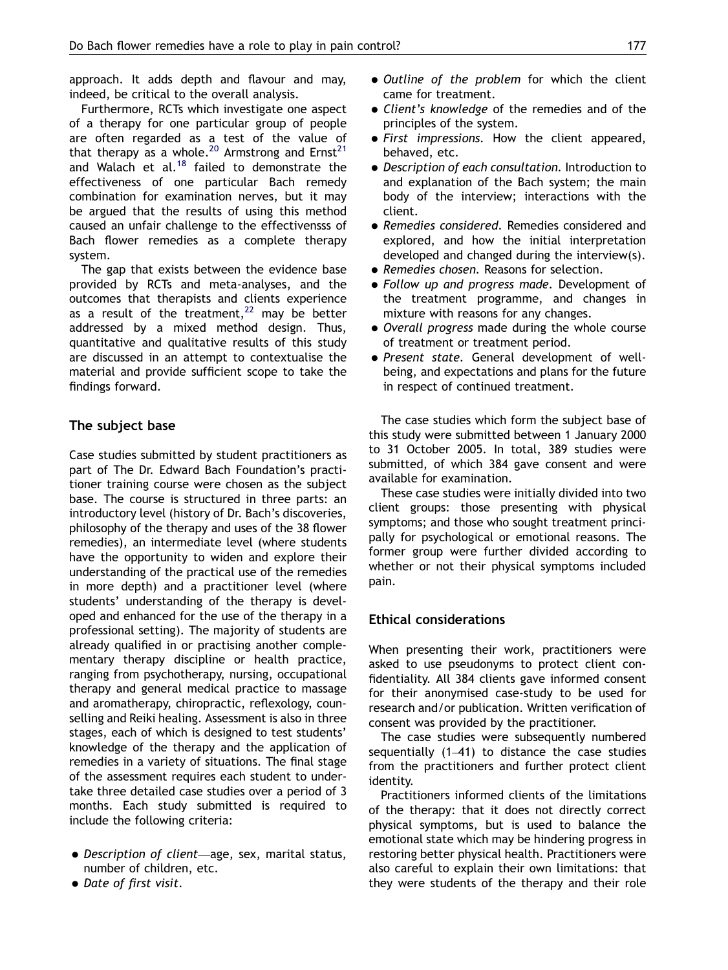approach. It adds depth and flavour and may, indeed, be critical to the overall analysis.

Furthermore, RCTs which investigate one aspect of a therapy for one particular group of people are often regarded as a test of the value of that therapy as a whole.<sup>[20](#page-8-0)</sup> Armstrong and  $Ernst^{21}$  $Ernst^{21}$  $Ernst^{21}$ and Walach et al.<sup>[18](#page-8-0)</sup> failed to demonstrate the effectiveness of one particular Bach remedy combination for examination nerves, but it may be argued that the results of using this method caused an unfair challenge to the effectivensss of Bach flower remedies as a complete therapy system.

The gap that exists between the evidence base provided by RCTs and meta-analyses, and the outcomes that therapists and clients experience as a result of the treatment, $^{22}$  $^{22}$  $^{22}$  may be better addressed by a mixed method design. Thus, quantitative and qualitative results of this study are discussed in an attempt to contextualise the material and provide sufficient scope to take the findings forward.

## The subject base

Case studies submitted by student practitioners as part of The Dr. Edward Bach Foundation's practitioner training course were chosen as the subject base. The course is structured in three parts: an introductory level (history of Dr. Bach's discoveries, philosophy of the therapy and uses of the 38 flower remedies), an intermediate level (where students have the opportunity to widen and explore their understanding of the practical use of the remedies in more depth) and a practitioner level (where students' understanding of the therapy is developed and enhanced for the use of the therapy in a professional setting). The majority of students are already qualified in or practising another complementary therapy discipline or health practice, ranging from psychotherapy, nursing, occupational therapy and general medical practice to massage and aromatherapy, chiropractic, reflexology, counselling and Reiki healing. Assessment is also in three stages, each of which is designed to test students' knowledge of the therapy and the application of remedies in a variety of situations. The final stage of the assessment requires each student to undertake three detailed case studies over a period of 3 months. Each study submitted is required to include the following criteria:

- · Description of client-age, sex, marital status, number of children, etc.
- Date of first visit.
- · Outline of the problem for which the client came for treatment.
- Client's knowledge of the remedies and of the principles of the system.
- · First impressions. How the client appeared, behaved, etc.
- Description of each consultation. Introduction to and explanation of the Bach system; the main body of the interview; interactions with the client.
- Remedies considered. Remedies considered and explored, and how the initial interpretation developed and changed during the interview(s).
- Remedies chosen. Reasons for selection.
- · Follow up and progress made. Development of the treatment programme, and changes in mixture with reasons for any changes.
- Overall progress made during the whole course of treatment or treatment period.
- Present state. General development of wellbeing, and expectations and plans for the future in respect of continued treatment.

The case studies which form the subject base of this study were submitted between 1 January 2000 to 31 October 2005. In total, 389 studies were submitted, of which 384 gave consent and were available for examination.

These case studies were initially divided into two client groups: those presenting with physical symptoms; and those who sought treatment principally for psychological or emotional reasons. The former group were further divided according to whether or not their physical symptoms included pain.

## Ethical considerations

When presenting their work, practitioners were asked to use pseudonyms to protect client confidentiality. All 384 clients gave informed consent for their anonymised case-study to be used for research and/or publication. Written verification of consent was provided by the practitioner.

The case studies were subsequently numbered sequentially (1–41) to distance the case studies from the practitioners and further protect client identity.

Practitioners informed clients of the limitations of the therapy: that it does not directly correct physical symptoms, but is used to balance the emotional state which may be hindering progress in restoring better physical health. Practitioners were also careful to explain their own limitations: that they were students of the therapy and their role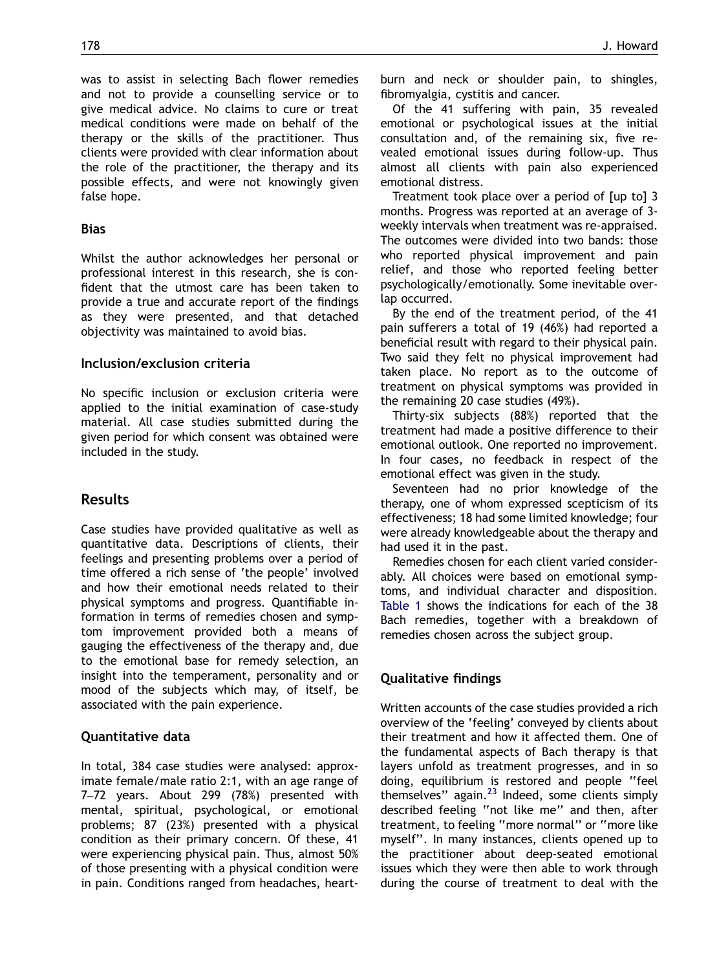was to assist in selecting Bach flower remedies and not to provide a counselling service or to give medical advice. No claims to cure or treat medical conditions were made on behalf of the therapy or the skills of the practitioner. Thus clients were provided with clear information about the role of the practitioner, the therapy and its possible effects, and were not knowingly given false hope.

#### Bias

Whilst the author acknowledges her personal or professional interest in this research, she is confident that the utmost care has been taken to provide a true and accurate report of the findings as they were presented, and that detached objectivity was maintained to avoid bias.

# Inclusion/exclusion criteria

No specific inclusion or exclusion criteria were applied to the initial examination of case-study material. All case studies submitted during the given period for which consent was obtained were included in the study.

## Results

Case studies have provided qualitative as well as quantitative data. Descriptions of clients, their feelings and presenting problems over a period of time offered a rich sense of 'the people' involved and how their emotional needs related to their physical symptoms and progress. Quantifiable information in terms of remedies chosen and symptom improvement provided both a means of gauging the effectiveness of the therapy and, due to the emotional base for remedy selection, an insight into the temperament, personality and or mood of the subjects which may, of itself, be associated with the pain experience.

## Quantitative data

In total, 384 case studies were analysed: approximate female/male ratio 2:1, with an age range of 7–72 years. About 299 (78%) presented with mental, spiritual, psychological, or emotional problems; 87 (23%) presented with a physical condition as their primary concern. Of these, 41 were experiencing physical pain. Thus, almost 50% of those presenting with a physical condition were in pain. Conditions ranged from headaches, heartburn and neck or shoulder pain, to shingles, fibromyalgia, cystitis and cancer.

Of the 41 suffering with pain, 35 revealed emotional or psychological issues at the initial consultation and, of the remaining six, five revealed emotional issues during follow-up. Thus almost all clients with pain also experienced emotional distress.

Treatment took place over a period of [up to] 3 months. Progress was reported at an average of 3 weekly intervals when treatment was re-appraised. The outcomes were divided into two bands: those who reported physical improvement and pain relief, and those who reported feeling better psychologically/emotionally. Some inevitable overlap occurred.

By the end of the treatment period, of the 41 pain sufferers a total of 19 (46%) had reported a beneficial result with regard to their physical pain. Two said they felt no physical improvement had taken place. No report as to the outcome of treatment on physical symptoms was provided in the remaining 20 case studies (49%).

Thirty-six subjects (88%) reported that the treatment had made a positive difference to their emotional outlook. One reported no improvement. In four cases, no feedback in respect of the emotional effect was given in the study.

Seventeen had no prior knowledge of the therapy, one of whom expressed scepticism of its effectiveness; 18 had some limited knowledge; four were already knowledgeable about the therapy and had used it in the past.

Remedies chosen for each client varied considerably. All choices were based on emotional symptoms, and individual character and disposition. [Table 1](#page-2-0) shows the indications for each of the 38 Bach remedies, together with a breakdown of remedies chosen across the subject group.

## Qualitative findings

Written accounts of the case studies provided a rich overview of the 'feeling' conveyed by clients about their treatment and how it affected them. One of the fundamental aspects of Bach therapy is that layers unfold as treatment progresses, and in so doing, equilibrium is restored and people ''feel themselves" again.<sup>[23](#page-8-0)</sup> Indeed, some clients simply described feeling ''not like me'' and then, after treatment, to feeling ''more normal'' or ''more like myself''. In many instances, clients opened up to the practitioner about deep-seated emotional issues which they were then able to work through during the course of treatment to deal with the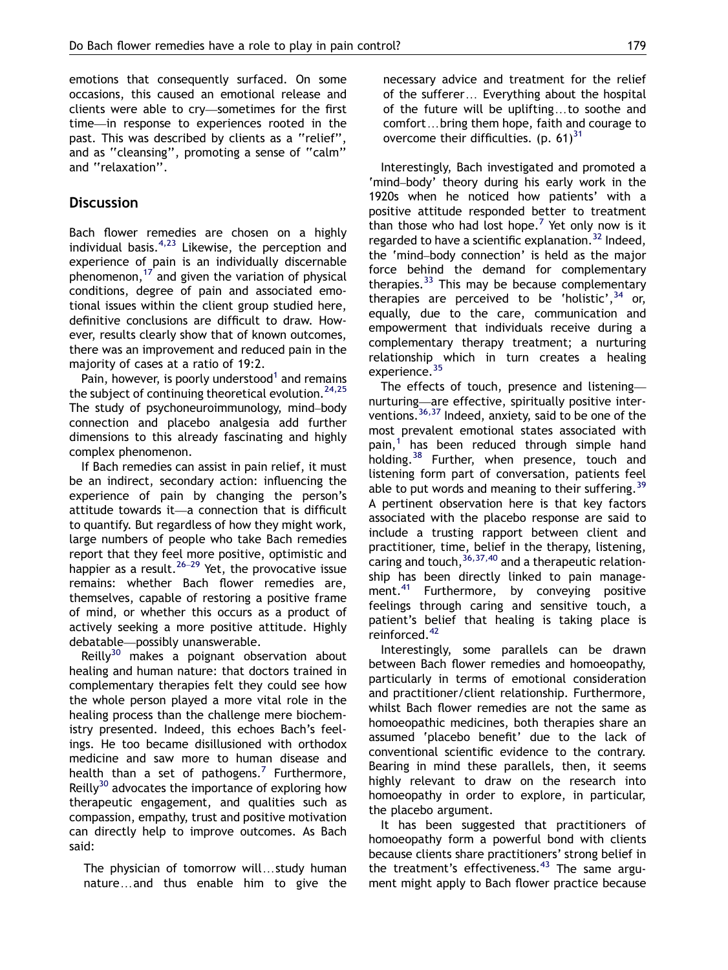emotions that consequently surfaced. On some occasions, this caused an emotional release and clients were able to cry—sometimes for the first time—in response to experiences rooted in the past. This was described by clients as a ''relief'', and as ''cleansing'', promoting a sense of ''calm'' and ''relaxation''.

# **Discussion**

Bach flower remedies are chosen on a highly individual basis. $4,23$  Likewise, the perception and experience of pain is an individually discernable phenomenon,  $17$  and given the variation of physical conditions, degree of pain and associated emotional issues within the client group studied here, definitive conclusions are difficult to draw. However, results clearly show that of known outcomes, there was an improvement and reduced pain in the majority of cases at a ratio of 19:2.

Pain, however, is poorly understood<sup>[1](#page-7-0)</sup> and remains the subject of continuing theoretical evolution.  $24,25$ The study of psychoneuroimmunology, mind–body connection and placebo analgesia add further dimensions to this already fascinating and highly complex phenomenon.

If Bach remedies can assist in pain relief, it must be an indirect, secondary action: influencing the experience of pain by changing the person's attitude towards it—a connection that is difficult to quantify. But regardless of how they might work, large numbers of people who take Bach remedies report that they feel more positive, optimistic and happier as a result.<sup>26-[29](#page-8-0)</sup> Yet, the provocative issue remains: whether Bach flower remedies are, themselves, capable of restoring a positive frame of mind, or whether this occurs as a product of actively seeking a more positive attitude. Highly debatable—possibly unanswerable.

Reilly<sup>[30](#page-8-0)</sup> makes a poignant observation about healing and human nature: that doctors trained in complementary therapies felt they could see how the whole person played a more vital role in the healing process than the challenge mere biochemistry presented. Indeed, this echoes Bach's feelings. He too became disillusioned with orthodox medicine and saw more to human disease and health than a set of pathogens.<sup>[7](#page-7-0)</sup> Furthermore, Reilly $30$  advocates the importance of exploring how therapeutic engagement, and qualities such as compassion, empathy, trust and positive motivation can directly help to improve outcomes. As Bach said:

The physician of tomorrow will...study human nature...and thus enable him to give the necessary advice and treatment for the relief of the sufferer... Everything about the hospital of the future will be uplifting...to soothe and comfort...bring them hope, faith and courage to overcome their difficulties. (p.  $61$ )<sup>[31](#page-8-0)</sup>

Interestingly, Bach investigated and promoted a 'mind–body' theory during his early work in the 1920s when he noticed how patients' with a positive attitude responded better to treatment than those who had lost hope.<sup>[7](#page-7-0)</sup> Yet only now is it regarded to have a scientific explanation.<sup>[32](#page-8-0)</sup> Indeed, the 'mind–body connection' is held as the major force behind the demand for complementary therapies. $33$  This may be because complementary therapies are perceived to be 'holistic',  $34$  or, equally, due to the care, communication and empowerment that individuals receive during a complementary therapy treatment; a nurturing relationship which in turn creates a healing experience.<sup>[35](#page-8-0)</sup>

The effects of touch, presence and listening nurturing—are effective, spiritually positive interventions.  $36,37$  Indeed, anxiety, said to be one of the most prevalent emotional states associated with pain, $<sup>1</sup>$  $<sup>1</sup>$  $<sup>1</sup>$  has been reduced through simple hand</sup> holding.<sup>[38](#page-8-0)</sup> Further, when presence, touch and listening form part of conversation, patients feel able to put words and meaning to their suffering.<sup>[39](#page-8-0)</sup> A pertinent observation here is that key factors associated with the placebo response are said to include a trusting rapport between client and practitioner, time, belief in the therapy, listening, caring and touch,  $36,37,40$  and a therapeutic relationship has been directly linked to pain management.<sup>41</sup> Furthermore, by conveying positive feelings through caring and sensitive touch, a patient's belief that healing is taking place is reinforced.<sup>[42](#page-8-0)</sup>

Interestingly, some parallels can be drawn between Bach flower remedies and homoeopathy, particularly in terms of emotional consideration and practitioner/client relationship. Furthermore, whilst Bach flower remedies are not the same as homoeopathic medicines, both therapies share an assumed 'placebo benefit' due to the lack of conventional scientific evidence to the contrary. Bearing in mind these parallels, then, it seems highly relevant to draw on the research into homoeopathy in order to explore, in particular, the placebo argument.

It has been suggested that practitioners of homoeopathy form a powerful bond with clients because clients share practitioners' strong belief in the treatment's effectiveness. $43$  The same argument might apply to Bach flower practice because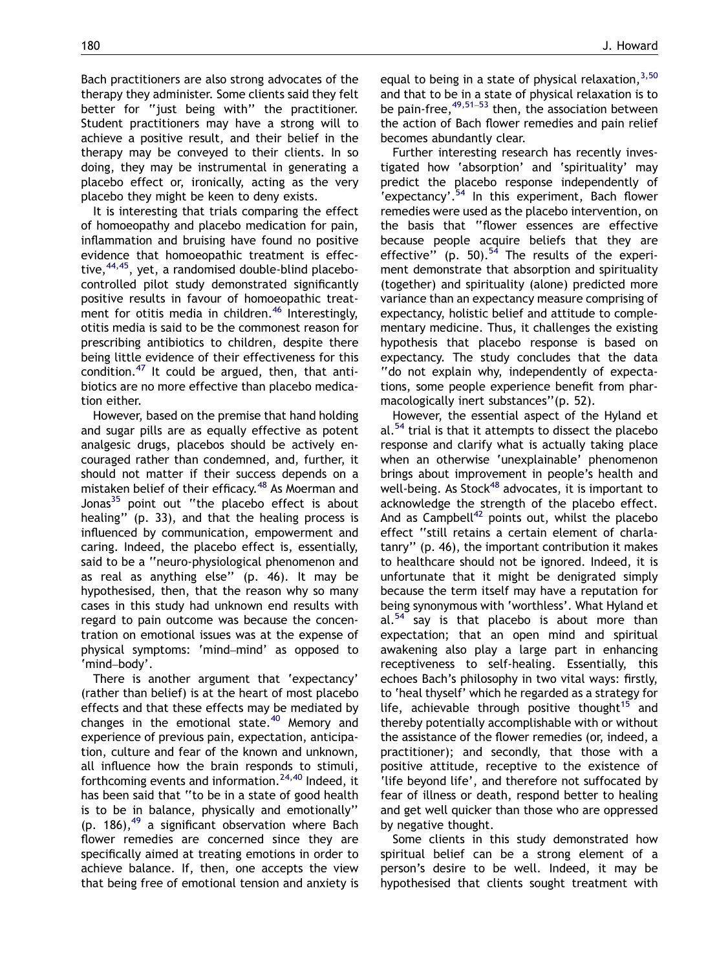Bach practitioners are also strong advocates of the therapy they administer. Some clients said they felt better for ''just being with'' the practitioner. Student practitioners may have a strong will to achieve a positive result, and their belief in the therapy may be conveyed to their clients. In so doing, they may be instrumental in generating a placebo effect or, ironically, acting as the very placebo they might be keen to deny exists.

It is interesting that trials comparing the effect of homoeopathy and placebo medication for pain, inflammation and bruising have found no positive evidence that homoeopathic treatment is effective, $44,45$ , yet, a randomised double-blind placebocontrolled pilot study demonstrated significantly positive results in favour of homoeopathic treat-ment for otitis media in children.<sup>[46](#page-8-0)</sup> Interestingly. otitis media is said to be the commonest reason for prescribing antibiotics to children, despite there being little evidence of their effectiveness for this condition.[47](#page-8-0) It could be argued, then, that antibiotics are no more effective than placebo medication either.

However, based on the premise that hand holding and sugar pills are as equally effective as potent analgesic drugs, placebos should be actively encouraged rather than condemned, and, further, it should not matter if their success depends on a mistaken belief of their efficacy.<sup>[48](#page-8-0)</sup> As Moerman and Jonas $35$  point out "the placebo effect is about healing'' (p. 33), and that the healing process is influenced by communication, empowerment and caring. Indeed, the placebo effect is, essentially, said to be a ''neuro-physiological phenomenon and as real as anything else'' (p. 46). It may be hypothesised, then, that the reason why so many cases in this study had unknown end results with regard to pain outcome was because the concentration on emotional issues was at the expense of physical symptoms: 'mind–mind' as opposed to 'mind–body'.

There is another argument that 'expectancy' (rather than belief) is at the heart of most placebo effects and that these effects may be mediated by changes in the emotional state.<sup>[40](#page-8-0)</sup> Memory and experience of previous pain, expectation, anticipation, culture and fear of the known and unknown, all influence how the brain responds to stimuli, forthcoming events and information.<sup>[24,40](#page-8-0)</sup> Indeed, it has been said that ''to be in a state of good health is to be in balance, physically and emotionally'' (p. 186),  $49$  a significant observation where Bach flower remedies are concerned since they are specifically aimed at treating emotions in order to achieve balance. If, then, one accepts the view that being free of emotional tension and anxiety is equal to being in a state of physical relaxation,  $3,50$ and that to be in a state of physical relaxation is to be pain-free,  $49,51-53$  $49,51-53$  then, the association between the action of Bach flower remedies and pain relief becomes abundantly clear.

Further interesting research has recently investigated how 'absorption' and 'spirituality' may predict the placebo response independently of  $i$ expectancy'. $54$  In this experiment, Bach flower remedies were used as the placebo intervention, on the basis that ''flower essences are effective because people acquire beliefs that they are effective" (p. 50).<sup>[54](#page-8-0)</sup> The results of the experiment demonstrate that absorption and spirituality (together) and spirituality (alone) predicted more variance than an expectancy measure comprising of expectancy, holistic belief and attitude to complementary medicine. Thus, it challenges the existing hypothesis that placebo response is based on expectancy. The study concludes that the data ''do not explain why, independently of expectations, some people experience benefit from pharmacologically inert substances''(p. 52).

However, the essential aspect of the Hyland et al.<sup>[54](#page-8-0)</sup> trial is that it attempts to dissect the placebo response and clarify what is actually taking place when an otherwise 'unexplainable' phenomenon brings about improvement in people's health and well-being. As Stock<sup>[48](#page-8-0)</sup> advocates, it is important to acknowledge the strength of the placebo effect. And as Campbell<sup>[42](#page-8-0)</sup> points out, whilst the placebo effect ''still retains a certain element of charlatanry'' (p. 46), the important contribution it makes to healthcare should not be ignored. Indeed, it is unfortunate that it might be denigrated simply because the term itself may have a reputation for being synonymous with 'worthless'. What Hyland et  $al.^{54}$  $al.^{54}$  $al.^{54}$  say is that placebo is about more than expectation; that an open mind and spiritual awakening also play a large part in enhancing receptiveness to self-healing. Essentially, this echoes Bach's philosophy in two vital ways: firstly, to 'heal thyself' which he regarded as a strategy for life, achievable through positive thought<sup>[15](#page-8-0)</sup> and thereby potentially accomplishable with or without the assistance of the flower remedies (or, indeed, a practitioner); and secondly, that those with a positive attitude, receptive to the existence of 'life beyond life', and therefore not suffocated by fear of illness or death, respond better to healing and get well quicker than those who are oppressed by negative thought.

Some clients in this study demonstrated how spiritual belief can be a strong element of a person's desire to be well. Indeed, it may be hypothesised that clients sought treatment with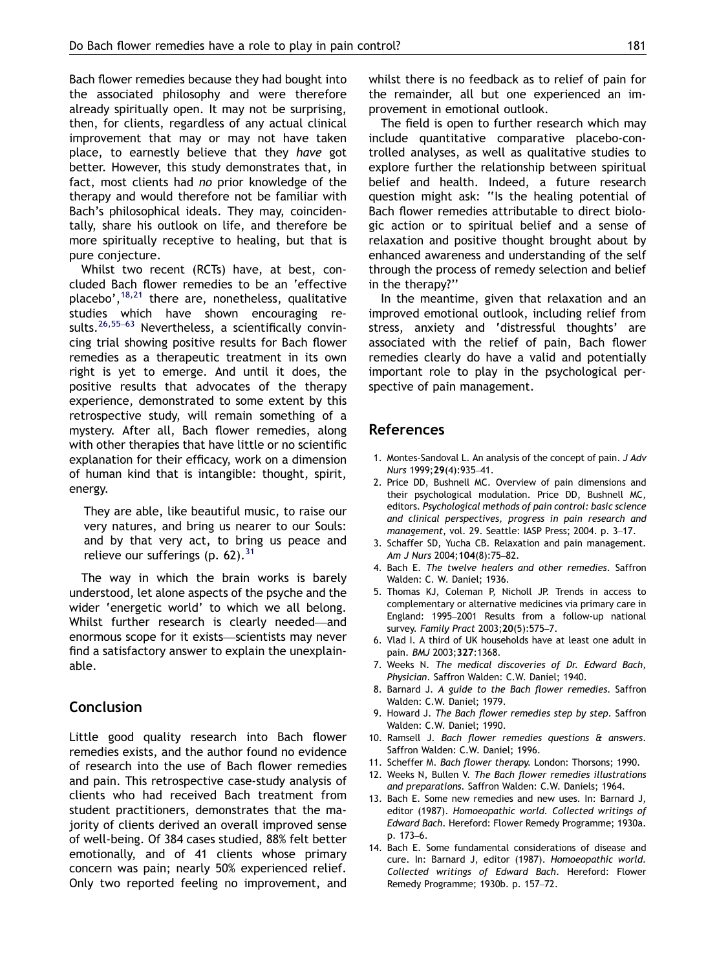<span id="page-7-0"></span>Bach flower remedies because they had bought into the associated philosophy and were therefore already spiritually open. It may not be surprising, then, for clients, regardless of any actual clinical improvement that may or may not have taken place, to earnestly believe that they have got better. However, this study demonstrates that, in fact, most clients had no prior knowledge of the therapy and would therefore not be familiar with Bach's philosophical ideals. They may, coincidentally, share his outlook on life, and therefore be more spiritually receptive to healing, but that is pure conjecture.

Whilst two recent (RCTs) have, at best, concluded Bach flower remedies to be an 'effective placebo', $18,21$  there are, nonetheless, qualitative studies which have shown encouraging re-sults.<sup>[26,55](#page-8-0)–63</sup> Nevertheless, a scientifically convincing trial showing positive results for Bach flower remedies as a therapeutic treatment in its own right is yet to emerge. And until it does, the positive results that advocates of the therapy experience, demonstrated to some extent by this retrospective study, will remain something of a mystery. After all, Bach flower remedies, along with other therapies that have little or no scientific explanation for their efficacy, work on a dimension of human kind that is intangible: thought, spirit, energy.

They are able, like beautiful music, to raise our very natures, and bring us nearer to our Souls: and by that very act, to bring us peace and relieve our sufferings (p.  $62$ ).<sup>[31](#page-8-0)</sup>

The way in which the brain works is barely understood, let alone aspects of the psyche and the wider 'energetic world' to which we all belong. Whilst further research is clearly needed—and enormous scope for it exists—scientists may never find a satisfactory answer to explain the unexplainable.

# Conclusion

Little good quality research into Bach flower remedies exists, and the author found no evidence of research into the use of Bach flower remedies and pain. This retrospective case-study analysis of clients who had received Bach treatment from student practitioners, demonstrates that the majority of clients derived an overall improved sense of well-being. Of 384 cases studied, 88% felt better emotionally, and of 41 clients whose primary concern was pain; nearly 50% experienced relief. Only two reported feeling no improvement, and whilst there is no feedback as to relief of pain for the remainder, all but one experienced an improvement in emotional outlook.

The field is open to further research which may include quantitative comparative placebo-controlled analyses, as well as qualitative studies to explore further the relationship between spiritual belief and health. Indeed, a future research question might ask: ''Is the healing potential of Bach flower remedies attributable to direct biologic action or to spiritual belief and a sense of relaxation and positive thought brought about by enhanced awareness and understanding of the self through the process of remedy selection and belief in the therapy?''

In the meantime, given that relaxation and an improved emotional outlook, including relief from stress, anxiety and 'distressful thoughts' are associated with the relief of pain, Bach flower remedies clearly do have a valid and potentially important role to play in the psychological perspective of pain management.

## References

- 1. Montes-Sandoval L. An analysis of the concept of pain. J Adv Nurs 1999;29(4):935–41.
- 2. Price DD, Bushnell MC. Overview of pain dimensions and their psychological modulation. Price DD, Bushnell MC, editors. Psychological methods of pain control: basic science and clinical perspectives, progress in pain research and management, vol. 29. Seattle: IASP Press; 2004. p. 3–17.
- 3. Schaffer SD, Yucha CB. Relaxation and pain management. Am J Nurs 2004;104(8):75–82.
- 4. Bach E. The twelve healers and other remedies. Saffron Walden: C. W. Daniel; 1936.
- 5. Thomas KJ, Coleman P, Nicholl JP. Trends in access to complementary or alternative medicines via primary care in England: 1995–2001 Results from a follow-up national survey. Family Pract 2003;20(5):575–7.
- 6. Vlad I. A third of UK households have at least one adult in pain. BMJ 2003;327:1368.
- 7. Weeks N. The medical discoveries of Dr. Edward Bach, Physician. Saffron Walden: C.W. Daniel; 1940.
- 8. Barnard J. A guide to the Bach flower remedies. Saffron Walden: C.W. Daniel; 1979.
- 9. Howard J. The Bach flower remedies step by step. Saffron Walden: C.W. Daniel; 1990.
- 10. Ramsell J. Bach flower remedies questions & answers. Saffron Walden: C.W. Daniel; 1996.
- 11. Scheffer M. Bach flower therapy. London: Thorsons; 1990.
- 12. Weeks N, Bullen V. The Bach flower remedies illustrations and preparations. Saffron Walden: C.W. Daniels; 1964.
- 13. Bach E. Some new remedies and new uses. In: Barnard J, editor (1987). Homoeopathic world. Collected writings of Edward Bach. Hereford: Flower Remedy Programme; 1930a. p. 173–6.
- 14. Bach E. Some fundamental considerations of disease and cure. In: Barnard J, editor (1987). Homoeopathic world. Collected writings of Edward Bach. Hereford: Flower Remedy Programme; 1930b. p. 157–72.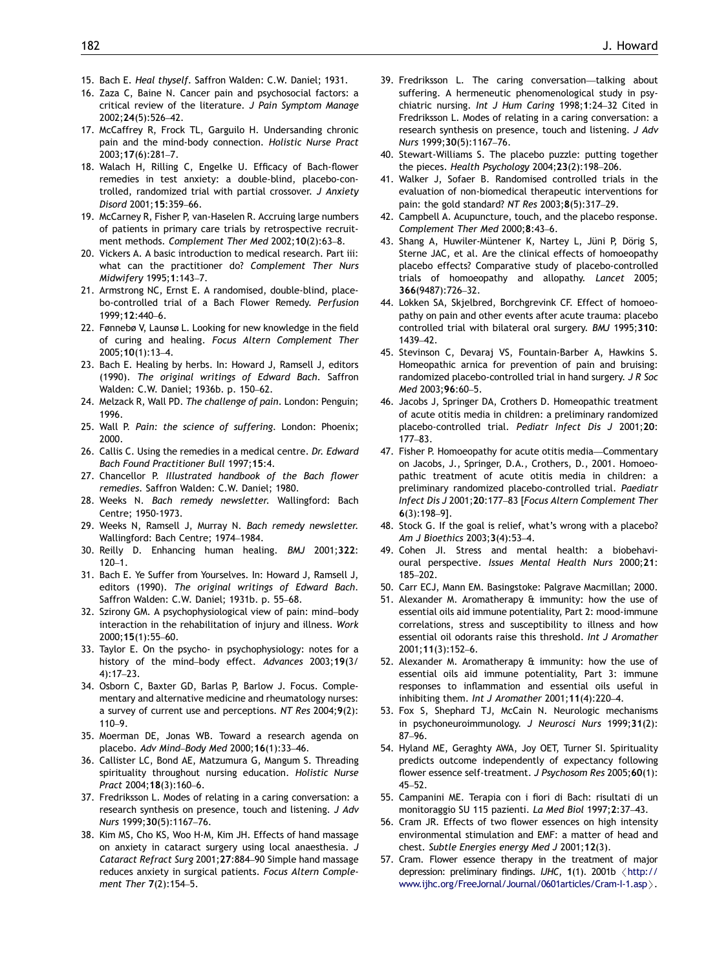- <span id="page-8-0"></span>15. Bach E. Heal thyself. Saffron Walden: C.W. Daniel; 1931.
- 16. Zaza C, Baine N. Cancer pain and psychosocial factors: a critical review of the literature. J Pain Symptom Manage 2002;24(5):526–42.
- 17. McCaffrey R, Frock TL, Garguilo H. Undersanding chronic pain and the mind-body connection. Holistic Nurse Pract 2003;17(6):281–7.
- 18. Walach H, Rilling C, Engelke U. Efficacy of Bach-flower remedies in test anxiety: a double-blind, placebo-controlled, randomized trial with partial crossover. J Anxiety Disord 2001;15:359–66.
- 19. McCarney R, Fisher P, van-Haselen R. Accruing large numbers of patients in primary care trials by retrospective recruitment methods. Complement Ther Med 2002;10(2):63–8.
- 20. Vickers A. A basic introduction to medical research. Part iii: what can the practitioner do? Complement Ther Nurs Midwifery 1995;1:143–7.
- 21. Armstrong NC, Ernst E. A randomised, double-blind, placebo-controlled trial of a Bach Flower Remedy. Perfusion 1999;12:440–6.
- 22. Fønnebø V, Launsø L. Looking for new knowledge in the field of curing and healing. Focus Altern Complement Ther 2005;10(1):13–4.
- 23. Bach E. Healing by herbs. In: Howard J, Ramsell J, editors (1990). The original writings of Edward Bach. Saffron Walden: C.W. Daniel; 1936b. p. 150–62.
- 24. Melzack R, Wall PD. The challenge of pain. London: Penguin; 1996.
- 25. Wall P. Pain: the science of suffering. London: Phoenix; 2000.
- 26. Callis C. Using the remedies in a medical centre. Dr. Edward Bach Found Practitioner Bull 1997;15:4.
- 27. Chancellor P. Illustrated handbook of the Bach flower remedies. Saffron Walden: C.W. Daniel; 1980.
- 28. Weeks N. Bach remedy newsletter. Wallingford: Bach Centre; 1950-1973.
- 29. Weeks N, Ramsell J, Murray N. Bach remedy newsletter. Wallingford: Bach Centre; 1974–1984.
- 30. Reilly D. Enhancing human healing. BMJ 2001;322: 120–1.
- 31. Bach E. Ye Suffer from Yourselves. In: Howard J, Ramsell J, editors (1990). The original writings of Edward Bach. Saffron Walden: C.W. Daniel; 1931b. p. 55–68.
- 32. Szirony GM. A psychophysiological view of pain: mind–body interaction in the rehabilitation of injury and illness. Work 2000;15(1):55–60.
- 33. Taylor E. On the psycho- in psychophysiology: notes for a history of the mind–body effect. Advances 2003;19(3/ 4):17–23.
- 34. Osborn C, Baxter GD, Barlas P, Barlow J. Focus. Complementary and alternative medicine and rheumatology nurses: a survey of current use and perceptions. NT Res 2004;9(2): 110–9.
- 35. Moerman DE, Jonas WB. Toward a research agenda on placebo. Adv Mind–Body Med 2000;16(1):33–46.
- 36. Callister LC, Bond AE, Matzumura G, Mangum S. Threading spirituality throughout nursing education. Holistic Nurse Pract 2004;18(3):160–6.
- 37. Fredriksson L. Modes of relating in a caring conversation: a research synthesis on presence, touch and listening. J Adv Nurs 1999;30(5):1167–76.
- 38. Kim MS, Cho KS, Woo H-M, Kim JH. Effects of hand massage on anxiety in cataract surgery using local anaesthesia. J Cataract Refract Surg 2001;27:884–90 Simple hand massage reduces anxiety in surgical patients. Focus Altern Complement Ther 7(2):154–5.
- 39. Fredriksson L. The caring conversation—talking about suffering. A hermeneutic phenomenological study in psychiatric nursing. Int J Hum Caring 1998;1:24–32 Cited in Fredriksson L. Modes of relating in a caring conversation: a research synthesis on presence, touch and listening. J Adv Nurs 1999;30(5):1167–76.
- 40. Stewart-Williams S. The placebo puzzle: putting together the pieces. Health Psychology 2004;23(2):198–206.
- 41. Walker J, Sofaer B. Randomised controlled trials in the evaluation of non-biomedical therapeutic interventions for pain: the gold standard? NT Res 2003;8(5):317–29.
- 42. Campbell A. Acupuncture, touch, and the placebo response. Complement Ther Med 2000;8:43–6.
- 43. Shang A, Huwiler-Müntener K, Nartey L, Jüni P, Dörig S, Sterne JAC, et al. Are the clinical effects of homoeopathy placebo effects? Comparative study of placebo-controlled trials of homoeopathy and allopathy. Lancet 2005; 366(9487):726–32.
- 44. Lokken SA, Skjelbred, Borchgrevink CF. Effect of homoeopathy on pain and other events after acute trauma: placebo controlled trial with bilateral oral surgery. BMJ 1995;310: 1439–42.
- 45. Stevinson C, Devaraj VS, Fountain-Barber A, Hawkins S. Homeopathic arnica for prevention of pain and bruising: randomized placebo-controlled trial in hand surgery. J R Soc Med 2003;96:60–5.
- 46. Jacobs J, Springer DA, Crothers D. Homeopathic treatment of acute otitis media in children: a preliminary randomized placebo-controlled trial. Pediatr Infect Dis J 2001;20: 177–83.
- 47. Fisher P. Homoeopathy for acute otitis media—Commentary on Jacobs, J., Springer, D.A., Crothers, D., 2001. Homoeopathic treatment of acute otitis media in children: a preliminary randomized placebo-controlled trial. Paediatr Infect Dis J 2001;20:177–83 [Focus Altern Complement Ther 6(3):198–9].
- 48. Stock G. If the goal is relief, what's wrong with a placebo? Am J Bioethics 2003;3(4):53–4.
- 49. Cohen JI. Stress and mental health: a biobehavioural perspective. Issues Mental Health Nurs 2000;21: 185–202.
- 50. Carr ECJ, Mann EM. Basingstoke: Palgrave Macmillan; 2000.
- 51. Alexander M. Aromatherapy & immunity: how the use of essential oils aid immune potentiality, Part 2: mood-immune correlations, stress and susceptibility to illness and how essential oil odorants raise this threshold. Int J Aromather 2001;11(3):152–6.
- 52. Alexander M. Aromatherapy & immunity: how the use of essential oils aid immune potentiality, Part 3: immune responses to inflammation and essential oils useful in inhibiting them. Int J Aromather 2001;11(4):220–4.
- 53. Fox S, Shephard TJ, McCain N. Neurologic mechanisms in psychoneuroimmunology. J Neurosci Nurs 1999;31(2): 87–96.
- 54. Hyland ME, Geraghty AWA, Joy OET, Turner SI. Spirituality predicts outcome independently of expectancy following flower essence self-treatment. J Psychosom Res 2005;60(1): 45–52.
- 55. Campanini ME. Terapia con i fiori di Bach: risultati di un monitoraggio SU 115 pazienti. La Med Biol 1997;2:37–43.
- 56. Cram JR. Effects of two flower essences on high intensity environmental stimulation and EMF: a matter of head and chest. Subtle Energies energy Med J 2001;12(3).
- 57. Cram. Flower essence therapy in the treatment of major depression: preliminary findings.  $IJHC$ , 1(1). 2001b  $\langle http: / /$ [www.ijhc.org/FreeJornal/Journal/0601articles/Cram-I-1.asp](http://www.ijhc.org/FreeJornal/Journal/0601articles/Cram-I-1.asp) $\rangle$ .